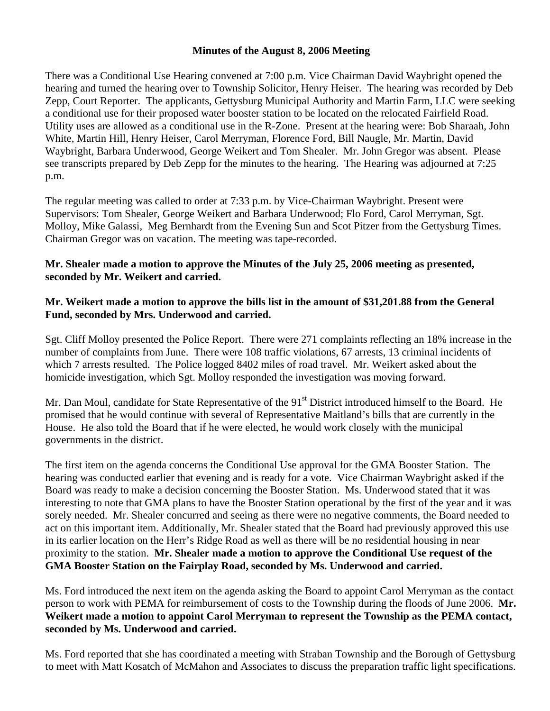## **Minutes of the August 8, 2006 Meeting**

There was a Conditional Use Hearing convened at 7:00 p.m. Vice Chairman David Waybright opened the hearing and turned the hearing over to Township Solicitor, Henry Heiser. The hearing was recorded by Deb Zepp, Court Reporter. The applicants, Gettysburg Municipal Authority and Martin Farm, LLC were seeking a conditional use for their proposed water booster station to be located on the relocated Fairfield Road. Utility uses are allowed as a conditional use in the R-Zone. Present at the hearing were: Bob Sharaah, John White, Martin Hill, Henry Heiser, Carol Merryman, Florence Ford, Bill Naugle, Mr. Martin, David Waybright, Barbara Underwood, George Weikert and Tom Shealer. Mr. John Gregor was absent. Please see transcripts prepared by Deb Zepp for the minutes to the hearing. The Hearing was adjourned at 7:25 p.m.

The regular meeting was called to order at 7:33 p.m. by Vice-Chairman Waybright. Present were Supervisors: Tom Shealer, George Weikert and Barbara Underwood; Flo Ford, Carol Merryman, Sgt. Molloy, Mike Galassi, Meg Bernhardt from the Evening Sun and Scot Pitzer from the Gettysburg Times. Chairman Gregor was on vacation. The meeting was tape-recorded.

## **Mr. Shealer made a motion to approve the Minutes of the July 25, 2006 meeting as presented, seconded by Mr. Weikert and carried.**

## **Mr. Weikert made a motion to approve the bills list in the amount of \$31,201.88 from the General Fund, seconded by Mrs. Underwood and carried.**

Sgt. Cliff Molloy presented the Police Report. There were 271 complaints reflecting an 18% increase in the number of complaints from June. There were 108 traffic violations, 67 arrests, 13 criminal incidents of which 7 arrests resulted. The Police logged 8402 miles of road travel. Mr. Weikert asked about the homicide investigation, which Sgt. Molloy responded the investigation was moving forward.

Mr. Dan Moul, candidate for State Representative of the 91<sup>st</sup> District introduced himself to the Board. He promised that he would continue with several of Representative Maitland's bills that are currently in the House. He also told the Board that if he were elected, he would work closely with the municipal governments in the district.

The first item on the agenda concerns the Conditional Use approval for the GMA Booster Station. The hearing was conducted earlier that evening and is ready for a vote. Vice Chairman Waybright asked if the Board was ready to make a decision concerning the Booster Station. Ms. Underwood stated that it was interesting to note that GMA plans to have the Booster Station operational by the first of the year and it was sorely needed. Mr. Shealer concurred and seeing as there were no negative comments, the Board needed to act on this important item. Additionally, Mr. Shealer stated that the Board had previously approved this use in its earlier location on the Herr's Ridge Road as well as there will be no residential housing in near proximity to the station. **Mr. Shealer made a motion to approve the Conditional Use request of the GMA Booster Station on the Fairplay Road, seconded by Ms. Underwood and carried.** 

Ms. Ford introduced the next item on the agenda asking the Board to appoint Carol Merryman as the contact person to work with PEMA for reimbursement of costs to the Township during the floods of June 2006. **Mr. Weikert made a motion to appoint Carol Merryman to represent the Township as the PEMA contact, seconded by Ms. Underwood and carried.** 

Ms. Ford reported that she has coordinated a meeting with Straban Township and the Borough of Gettysburg to meet with Matt Kosatch of McMahon and Associates to discuss the preparation traffic light specifications.